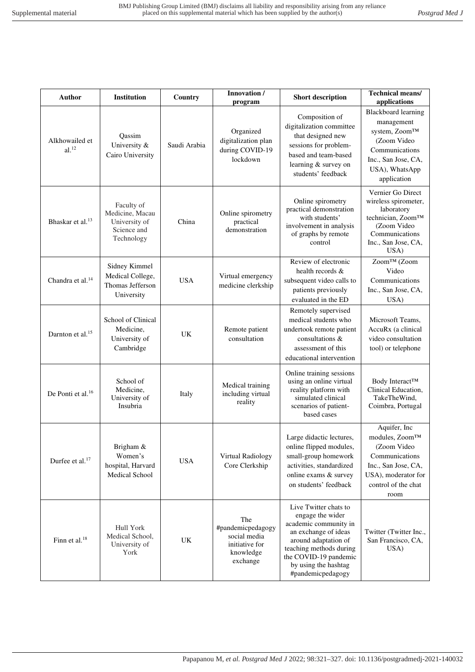| <b>Author</b>                       | Institution                                                                 | Country      | Innovation /<br>program                                                             | <b>Short description</b>                                                                                                                                                                                            | <b>Technical means/</b><br>applications                                                                                                                   |
|-------------------------------------|-----------------------------------------------------------------------------|--------------|-------------------------------------------------------------------------------------|---------------------------------------------------------------------------------------------------------------------------------------------------------------------------------------------------------------------|-----------------------------------------------------------------------------------------------------------------------------------------------------------|
| Alkhowailed et<br>al. <sup>12</sup> | Qassim<br>University &<br>Cairo University                                  | Saudi Arabia | Organized<br>digitalization plan<br>during COVID-19<br>lockdown                     | Composition of<br>digitalization committee<br>that designed new<br>sessions for problem-<br>based and team-based<br>learning & survey on<br>students' feedback                                                      | Blackboard learning<br>management<br>system, Zoom™<br>(Zoom Video<br>Communications<br>Inc., San Jose, CA,<br>USA), WhatsApp<br>application               |
| Bhaskar et al. <sup>13</sup>        | Faculty of<br>Medicine, Macau<br>University of<br>Science and<br>Technology | China        | Online spirometry<br>practical<br>demonstration                                     | Online spirometry<br>practical demonstration<br>with students'<br>involvement in analysis<br>of graphs by remote<br>control                                                                                         | Vernier Go Direct<br>wireless spirometer,<br>laboratory<br>technician, Zoom™<br>(Zoom Video<br>Communications<br>Inc., San Jose, CA,<br>USA)              |
| Chandra et al. <sup>14</sup>        | Sidney Kimmel<br>Medical College,<br>Thomas Jefferson<br>University         | <b>USA</b>   | Virtual emergency<br>medicine clerkship                                             | Review of electronic<br>health records &<br>subsequent video calls to<br>patients previously<br>evaluated in the ED                                                                                                 | Zoom™ (Zoom<br>Video<br>Communications<br>Inc., San Jose, CA,<br>USA)                                                                                     |
| Darnton et al. <sup>15</sup>        | School of Clinical<br>Medicine,<br>University of<br>Cambridge               | UK           | Remote patient<br>consultation                                                      | Remotely supervised<br>medical students who<br>undertook remote patient<br>consultations &<br>assessment of this<br>educational intervention                                                                        | Microsoft Teams,<br>AccuRx (a clinical<br>video consultation<br>tool) or telephone                                                                        |
| De Ponti et al. <sup>16</sup>       | School of<br>Medicine,<br>University of<br>Insubria                         | Italy        | Medical training<br>including virtual<br>reality                                    | Online training sessions<br>using an online virtual<br>reality platform with<br>simulated clinical<br>scenarios of patient-<br>based cases                                                                          | Body Interact™<br>Clinical Education,<br>TakeTheWind,<br>Coimbra, Portugal                                                                                |
| Durfee et al. <sup>17</sup>         | Brigham &<br>Women's<br>hospital, Harvard<br>Medical School                 | <b>USA</b>   | Virtual Radiology<br>Core Clerkship                                                 | Large didactic lectures,<br>online flipped modules,<br>small-group homework<br>activities, standardized<br>online exams & survey<br>on students' feedback                                                           | Aquifer, Inc<br>modules, Zoom <sup>TM</sup><br>(Zoom Video<br>Communications<br>Inc., San Jose, CA,<br>USA), moderator for<br>control of the chat<br>room |
| Finn et al. <sup>18</sup>           | Hull York<br>Medical School,<br>University of<br>York                       | UK           | The<br>#pandemicpedagogy<br>social media<br>initiative for<br>knowledge<br>exchange | Live Twitter chats to<br>engage the wider<br>academic community in<br>an exchange of ideas<br>around adaptation of<br>teaching methods during<br>the COVID-19 pandemic<br>by using the hashtag<br>#pandemicpedagogy | Twitter (Twitter Inc.,<br>San Francisco, CA,<br>USA)                                                                                                      |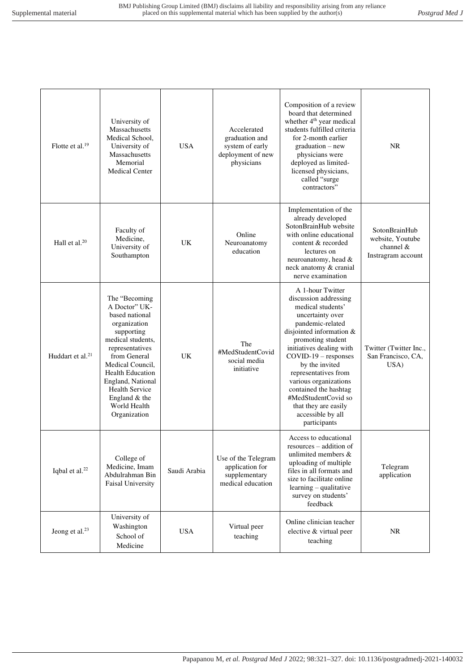| Flotte et al. <sup>19</sup> | University of<br>Massachusetts<br>Medical School,<br>University of<br>Massachusetts<br>Memorial<br><b>Medical Center</b>                                                                                                                                                        | <b>USA</b>   | Accelerated<br>graduation and<br>system of early<br>deployment of new<br>physicians | Composition of a review<br>board that determined<br>whether 4 <sup>th</sup> year medical<br>students fulfilled criteria<br>for 2-month earlier<br>$graduation - new$<br>physicians were<br>deployed as limited-<br>licensed physicians,<br>called "surge<br>contractors"                                                                                                                      | <b>NR</b>                                                            |
|-----------------------------|---------------------------------------------------------------------------------------------------------------------------------------------------------------------------------------------------------------------------------------------------------------------------------|--------------|-------------------------------------------------------------------------------------|-----------------------------------------------------------------------------------------------------------------------------------------------------------------------------------------------------------------------------------------------------------------------------------------------------------------------------------------------------------------------------------------------|----------------------------------------------------------------------|
| Hall et al. $20$            | Faculty of<br>Medicine,<br>University of<br>Southampton                                                                                                                                                                                                                         | UK           | Online<br>Neuroanatomy<br>education                                                 | Implementation of the<br>already developed<br>SotonBrainHub website<br>with online educational<br>content & recorded<br>lectures on<br>neuroanatomy, head &<br>neck anatomy & cranial<br>nerve examination                                                                                                                                                                                    | SotonBrainHub<br>website, Youtube<br>channel &<br>Instragram account |
| Huddart et al. $21$         | The "Becoming<br>A Doctor" UK-<br>based national<br>organization<br>supporting<br>medical students,<br>representatives<br>from General<br>Medical Council,<br><b>Health Education</b><br>England, National<br>Health Service<br>England $&$ the<br>World Health<br>Organization | <b>UK</b>    | The<br>#MedStudentCovid<br>social media<br>initiative                               | A 1-hour Twitter<br>discussion addressing<br>medical students'<br>uncertainty over<br>pandemic-related<br>disjointed information &<br>promoting student<br>initiatives dealing with<br>$COVID-19$ – responses<br>by the invited<br>representatives from<br>various organizations<br>contained the hashtag<br>#MedStudentCovid so<br>that they are easily<br>accessible by all<br>participants | Twitter (Twitter Inc.,<br>San Francisco, CA,<br>USA)                 |
| Iqbal et al. <sup>22</sup>  | College of<br>Medicine, Imam<br>Abdulrahman Bin<br><b>Faisal University</b>                                                                                                                                                                                                     | Saudi Arabia | Use of the Telegram<br>application for<br>supplementary<br>medical education        | Access to educational<br>resources – addition of<br>unlimited members &<br>uploading of multiple<br>files in all formats and<br>size to facilitate online<br>learning - qualitative<br>survey on students'<br>feedback                                                                                                                                                                        | Telegram<br>application                                              |
| Jeong et al. <sup>23</sup>  | University of<br>Washington<br>School of<br>Medicine                                                                                                                                                                                                                            | <b>USA</b>   | Virtual peer<br>teaching                                                            | Online clinician teacher<br>elective & virtual peer<br>teaching                                                                                                                                                                                                                                                                                                                               | <b>NR</b>                                                            |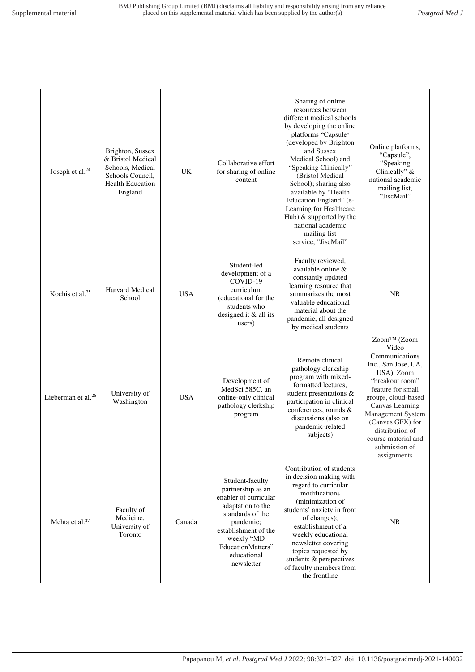| Joseph et al. <sup>24</sup>    | Brighton, Sussex<br>& Bristol Medical<br>Schools, Medical<br>Schools Council,<br><b>Health Education</b><br>England | UK         | Collaborative effort<br>for sharing of online<br>content                                                                                                                                                    | Sharing of online<br>resources between<br>different medical schools<br>by developing the online<br>platforms "Capsule"<br>(developed by Brighton<br>and Sussex<br>Medical School) and<br>"Speaking Clinically"<br>(Bristol Medical<br>School); sharing also<br>available by "Health<br>Education England" (e-<br>Learning for Healthcare<br>Hub) & supported by the<br>national academic<br>mailing list<br>service, "JiscMail" | Online platforms,<br>"Capsule",<br>"Speaking<br>Clinically" $\&$<br>national academic<br>mailing list,<br>"JiscMail"                                                                                                                                                             |
|--------------------------------|---------------------------------------------------------------------------------------------------------------------|------------|-------------------------------------------------------------------------------------------------------------------------------------------------------------------------------------------------------------|---------------------------------------------------------------------------------------------------------------------------------------------------------------------------------------------------------------------------------------------------------------------------------------------------------------------------------------------------------------------------------------------------------------------------------|----------------------------------------------------------------------------------------------------------------------------------------------------------------------------------------------------------------------------------------------------------------------------------|
| Kochis et al. <sup>25</sup>    | Harvard Medical<br>School                                                                                           | <b>USA</b> | Student-led<br>development of a<br>COVID-19<br>curriculum<br>(educational for the<br>students who<br>designed it & all its<br>users)                                                                        | Faculty reviewed,<br>available online &<br>constantly updated<br>learning resource that<br>summarizes the most<br>valuable educational<br>material about the<br>pandemic, all designed<br>by medical students                                                                                                                                                                                                                   | <b>NR</b>                                                                                                                                                                                                                                                                        |
| Lieberman et al. <sup>26</sup> | University of<br>Washington                                                                                         | <b>USA</b> | Development of<br>MedSci 585C, an<br>online-only clinical<br>pathology clerkship<br>program                                                                                                                 | Remote clinical<br>pathology clerkship<br>program with mixed-<br>formatted lectures,<br>student presentations &<br>participation in clinical<br>conferences, rounds &<br>discussions (also on<br>pandemic-related<br>subjects)                                                                                                                                                                                                  | Zoom™ (Zoom<br>Video<br>Communications<br>Inc., San Jose, CA,<br>USA), Zoom<br>"breakout room"<br>feature for small<br>groups, cloud-based<br>Canvas Learning<br>Management System<br>(Canvas GFX) for<br>distribution of<br>course material and<br>submission of<br>assignments |
| Mehta et al. <sup>27</sup>     | Faculty of<br>Medicine,<br>University of<br>Toronto                                                                 | Canada     | Student-faculty<br>partnership as an<br>enabler of curricular<br>adaptation to the<br>standards of the<br>pandemic;<br>establishment of the<br>weekly "MD<br>EducationMatters"<br>educational<br>newsletter | Contribution of students<br>in decision making with<br>regard to curricular<br>modifications<br>(minimization of<br>students' anxiety in front<br>of changes);<br>establishment of a<br>weekly educational<br>newsletter covering<br>topics requested by<br>students & perspectives<br>of faculty members from<br>the frontline                                                                                                 | NR                                                                                                                                                                                                                                                                               |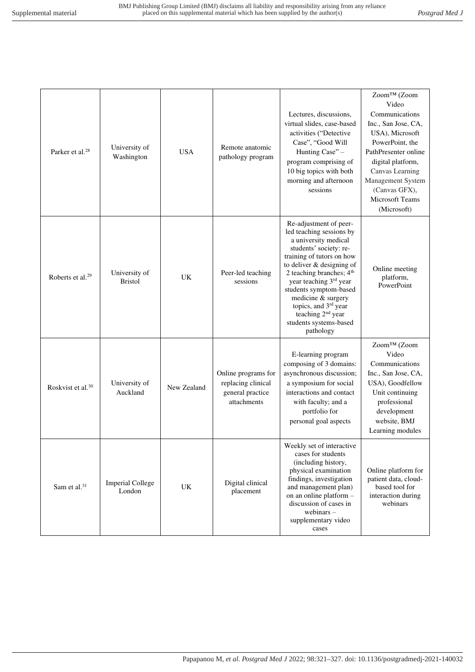| Parker et al. <sup>28</sup>   | University of<br>Washington       | <b>USA</b>  | Remote anatomic<br>pathology program                                         | Lectures, discussions,<br>virtual slides, case-based<br>activities ("Detective<br>Case", "Good Will<br>Hunting Case" -<br>program comprising of<br>10 big topics with both<br>morning and afternoon<br>sessions                                                                                                                                                        | Zoom™ (Zoom<br>Video<br>Communications<br>Inc., San Jose, CA,<br>USA), Microsoft<br>PowerPoint, the<br>PathPresenter online<br>digital platform,<br>Canvas Learning<br>Management System<br>(Canvas GFX),<br>Microsoft Teams<br>(Microsoft) |
|-------------------------------|-----------------------------------|-------------|------------------------------------------------------------------------------|------------------------------------------------------------------------------------------------------------------------------------------------------------------------------------------------------------------------------------------------------------------------------------------------------------------------------------------------------------------------|---------------------------------------------------------------------------------------------------------------------------------------------------------------------------------------------------------------------------------------------|
| Roberts et al. <sup>29</sup>  | University of<br><b>Bristol</b>   | UK          | Peer-led teaching<br>sessions                                                | Re-adjustment of peer-<br>led teaching sessions by<br>a university medical<br>students' society: re-<br>training of tutors on how<br>to deliver & designing of<br>2 teaching branches; $4th$<br>year teaching 3rd year<br>students symptom-based<br>medicine & surgery<br>topics, and 3rd year<br>teaching 2 <sup>nd</sup> year<br>students systems-based<br>pathology | Online meeting<br>platform,<br>PowerPoint                                                                                                                                                                                                   |
| Roskvist et al. <sup>30</sup> | University of<br>Auckland         | New Zealand | Online programs for<br>replacing clinical<br>general practice<br>attachments | E-learning program<br>composing of 3 domains:<br>asynchronous discussion;<br>a symposium for social<br>interactions and contact<br>with faculty; and a<br>portfolio for<br>personal goal aspects                                                                                                                                                                       | Zoom™ (Zoom<br>Video<br>Communications<br>Inc., San Jose, CA,<br>USA), Goodfellow<br>Unit continuing<br>professional<br>development<br>website, BMJ<br>Learning modules                                                                     |
| Sam et al. <sup>31</sup>      | <b>Imperial College</b><br>London | UK          | Digital clinical<br>placement                                                | Weekly set of interactive<br>cases for students<br>(including history,<br>physical examination<br>findings, investigation<br>and management plan)<br>on an online platform -<br>discussion of cases in<br>webinars $-$<br>supplementary video<br>cases                                                                                                                 | Online platform for<br>patient data, cloud-<br>based tool for<br>interaction during<br>webinars                                                                                                                                             |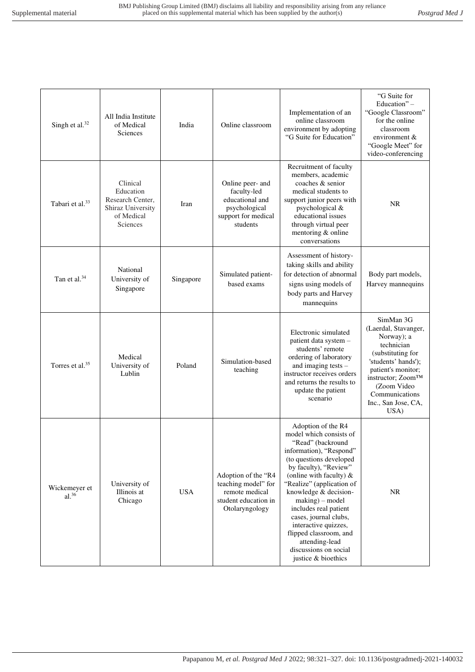| Singh et al. <sup>32</sup>  | All India Institute<br>of Medical<br>Sciences                                            | India      | Online classroom                                                                                       | Implementation of an<br>online classroom<br>environment by adopting<br>"G Suite for Education"                                                                                                                                                                                                                                                                                                                                    | "G Suite for<br>Education" -<br>"Google Classroom"<br>for the online<br>classroom<br>environment &<br>"Google Meet" for<br>video-conferencing                                                                        |
|-----------------------------|------------------------------------------------------------------------------------------|------------|--------------------------------------------------------------------------------------------------------|-----------------------------------------------------------------------------------------------------------------------------------------------------------------------------------------------------------------------------------------------------------------------------------------------------------------------------------------------------------------------------------------------------------------------------------|----------------------------------------------------------------------------------------------------------------------------------------------------------------------------------------------------------------------|
| Tabari et al. <sup>33</sup> | Clinical<br>Education<br>Research Center,<br>Shiraz University<br>of Medical<br>Sciences | Iran       | Online peer- and<br>faculty-led<br>educational and<br>psychological<br>support for medical<br>students | Recruitment of faculty<br>members, academic<br>coaches & senior<br>medical students to<br>support junior peers with<br>psychological &<br>educational issues<br>through virtual peer<br>mentoring & online<br>conversations                                                                                                                                                                                                       | <b>NR</b>                                                                                                                                                                                                            |
| Tan et al. $34$             | National<br>University of<br>Singapore                                                   | Singapore  | Simulated patient-<br>based exams                                                                      | Assessment of history-<br>taking skills and ability<br>for detection of abnormal<br>signs using models of<br>body parts and Harvey<br>mannequins                                                                                                                                                                                                                                                                                  | Body part models,<br>Harvey mannequins                                                                                                                                                                               |
| Torres et al. <sup>35</sup> | Medical<br>University of<br>Lublin                                                       | Poland     | Simulation-based<br>teaching                                                                           | Electronic simulated<br>patient data system -<br>students' remote<br>ordering of laboratory<br>and imaging tests -<br>instructor receives orders<br>and returns the results to<br>update the patient<br>scenario                                                                                                                                                                                                                  | SimMan 3G<br>(Laerdal, Stavanger,<br>Norway); a<br>technician<br>(substituting for<br>'students' hands');<br>patient's monitor;<br>instructor; Zoom™<br>(Zoom Video<br>Communications<br>Inc., San Jose, CA,<br>USA) |
| Wickemeyer et<br>$al.^{36}$ | University of<br>Illinois at<br>Chicago                                                  | <b>USA</b> | Adoption of the "R4<br>teaching model" for<br>remote medical<br>student education in<br>Otolaryngology | Adoption of the R4<br>model which consists of<br>"Read" (backround<br>information), "Respond"<br>(to questions developed<br>by faculty), "Review"<br>(online with faculty) $\&$<br>"Realize" (application of<br>knowledge & decision-<br>$making$ ) – model<br>includes real patient<br>cases, journal clubs,<br>interactive quizzes,<br>flipped classroom, and<br>attending-lead<br>discussions on social<br>justice & bioethics | <b>NR</b>                                                                                                                                                                                                            |